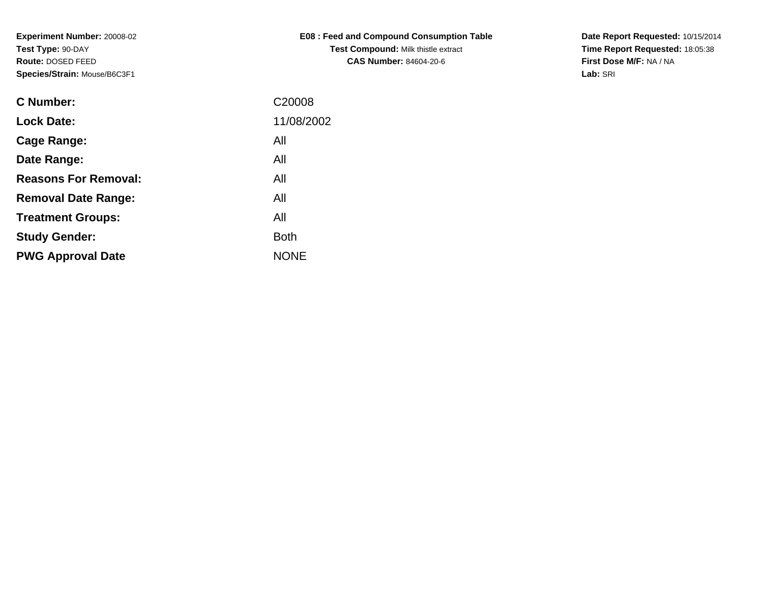| <b>E08: Feed and Compound Consumption Table</b> |  |  |  |  |  |  |  |  |
|-------------------------------------------------|--|--|--|--|--|--|--|--|
| <b>Test Compound: Milk thistle extract</b>      |  |  |  |  |  |  |  |  |
| <b>CAS Number: 84604-20-6</b>                   |  |  |  |  |  |  |  |  |

**Date Report Requested:** 10/15/2014 **Time Report Requested:** 18:05:38**First Dose M/F:** NA / NA**Lab:** SRI

| <b>C</b> Number:            | C <sub>20008</sub> |
|-----------------------------|--------------------|
| <b>Lock Date:</b>           | 11/08/2002         |
| Cage Range:                 | All                |
| Date Range:                 | All                |
| <b>Reasons For Removal:</b> | All                |
| <b>Removal Date Range:</b>  | All                |
| <b>Treatment Groups:</b>    | All                |
| <b>Study Gender:</b>        | <b>Both</b>        |
| <b>PWG Approval Date</b>    | <b>NONE</b>        |
|                             |                    |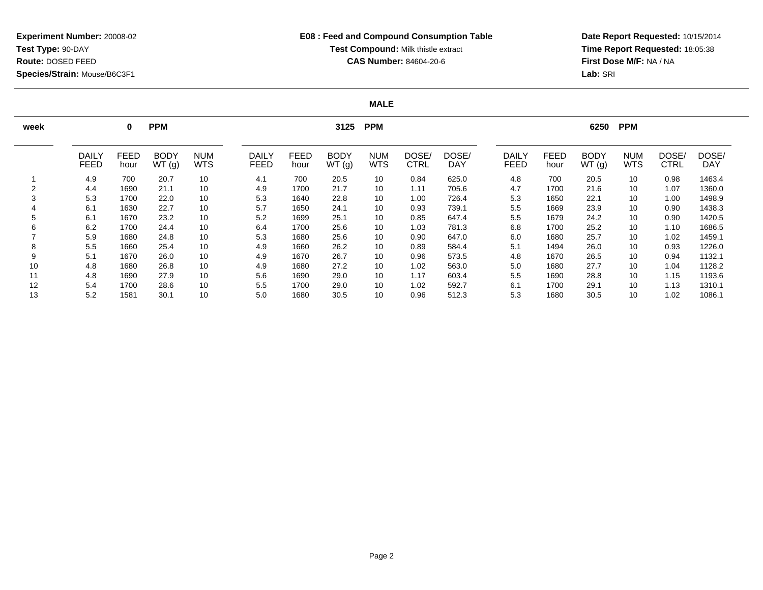# **E08 : Feed and Compound Consumption TableTest Compound:** Milk thistle extract**CAS Number:** 84604-20-6

**Date Report Requested:** 10/15/2014 **Time Report Requested:** 18:05:38**First Dose M/F:** NA / NA**Lab:** SRI

### **MALE**

| week |                             | 0                   | <b>PPM</b>           |                          |                             |                     | 3125 PPM             |                          |                      | <b>PPM</b><br>6250  |                      |                     |                      |                          |               |                     |
|------|-----------------------------|---------------------|----------------------|--------------------------|-----------------------------|---------------------|----------------------|--------------------------|----------------------|---------------------|----------------------|---------------------|----------------------|--------------------------|---------------|---------------------|
|      | <b>DAILY</b><br><b>FEED</b> | <b>FEED</b><br>hour | <b>BODY</b><br>WT(g) | <b>NUM</b><br><b>WTS</b> | <b>DAILY</b><br><b>FEED</b> | <b>FEED</b><br>hour | <b>BODY</b><br>WT(g) | <b>NUM</b><br><b>WTS</b> | DOSE/<br><b>CTRL</b> | DOSE/<br><b>DAY</b> | DAILY<br><b>FEED</b> | <b>FEED</b><br>hour | <b>BODY</b><br>WT(g) | <b>NUM</b><br><b>WTS</b> | DOSE/<br>CTRL | DOSE/<br><b>DAY</b> |
|      | 4.9                         | 700                 | 20.7                 | 10                       | 4.1                         | 700                 | 20.5                 | 10                       | 0.84                 | 625.0               | 4.8                  | 700                 | 20.5                 | 10                       | 0.98          | 1463.4              |
|      | 4.4                         | 1690                | 21.1                 | 10                       | 4.9                         | 1700                | 21.7                 | 10                       | 1.11                 | 705.6               | 4.7                  | 1700                | 21.6                 | 10                       | 1.07          | 1360.0              |
| 3    | 5.3                         | 1700                | 22.0                 | 10                       | 5.3                         | 1640                | 22.8                 | 10                       | 1.00                 | 726.4               | 5.3                  | 1650                | 22.1                 | 10                       | 1.00          | 1498.9              |
|      | 6.1                         | 1630                | 22.7                 | 10                       | 5.7                         | 1650                | 24.1                 | 10                       | 0.93                 | 739.1               | 5.5                  | 1669                | 23.9                 | 10                       | 0.90          | 1438.3              |
| 5    | 6.1                         | 1670                | 23.2                 | 10                       | 5.2                         | 1699                | 25.1                 | 10                       | 0.85                 | 647.4               | 5.5                  | 1679                | 24.2                 | 10                       | 0.90          | 1420.5              |
| 6    | 6.2                         | 1700                | 24.4                 | 10                       | 6.4                         | 1700                | 25.6                 | 10                       | 1.03                 | 781.3               | 6.8                  | 1700                | 25.2                 | 10                       | 1.10          | 1686.5              |
|      | 5.9                         | 1680                | 24.8                 | 10                       | 5.3                         | 1680                | 25.6                 | 10                       | 0.90                 | 647.0               | 6.0                  | 1680                | 25.7                 | 10                       | 1.02          | 1459.1              |
| 8    | 5.5                         | 1660                | 25.4                 | 10                       | 4.9                         | 1660                | 26.2                 | 10                       | 0.89                 | 584.4               | 5.1                  | 1494                | 26.0                 | 10                       | 0.93          | 1226.0              |
| 9    | 5.1                         | 1670                | 26.0                 | 10                       | 4.9                         | 1670                | 26.7                 | 10                       | 0.96                 | 573.5               | 4.8                  | 1670                | 26.5                 | 10                       | 0.94          | 1132.1              |
| 10   | 4.8                         | 1680                | 26.8                 | 10                       | 4.9                         | 1680                | 27.2                 | 10                       | 1.02                 | 563.0               | 5.0                  | 1680                | 27.7                 | 10                       | 1.04          | 1128.2              |
| 11   | 4.8                         | 1690                | 27.9                 | 10                       | 5.6                         | 1690                | 29.0                 | 10                       | 1.17                 | 603.4               | 5.5                  | 1690                | 28.8                 | 10                       | 1.15          | 1193.6              |
| 12   | 5.4                         | 1700                | 28.6                 | 10                       | 5.5                         | 1700                | 29.0                 | 10                       | 1.02                 | 592.7               | 6.1                  | 1700                | 29.1                 | 10                       | 1.13          | 1310.1              |
| 13   | 5.2                         | 1581                | 30.1                 | 10                       | 5.0                         | 1680                | 30.5                 | 10                       | 0.96                 | 512.3               | 5.3                  | 1680                | 30.5                 | 10                       | 1.02          | 1086.1              |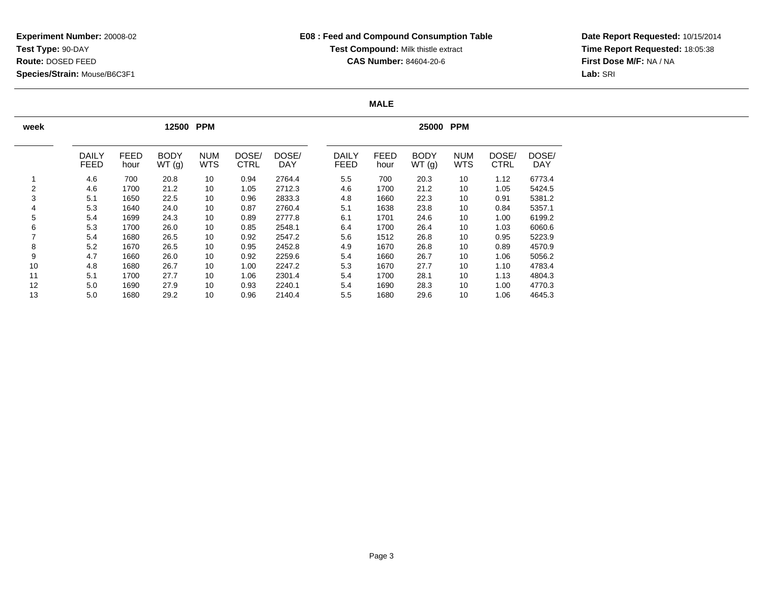**Date Report Requested:** 10/15/2014 **Time Report Requested:** 18:05:38**First Dose M/F:** NA / NA**Lab:** SRI

### **MALE**

| week |                             |                     | 12500                | <b>PPM</b>               |                      |                     | <b>PPM</b><br>25000 |                             |                     |                      |                          |                      |              |  |
|------|-----------------------------|---------------------|----------------------|--------------------------|----------------------|---------------------|---------------------|-----------------------------|---------------------|----------------------|--------------------------|----------------------|--------------|--|
|      | <b>DAILY</b><br><b>FEED</b> | <b>FEED</b><br>hour | <b>BODY</b><br>WT(g) | <b>NUM</b><br><b>WTS</b> | DOSE/<br><b>CTRL</b> | DOSE/<br><b>DAY</b> |                     | <b>DAILY</b><br><b>FEED</b> | <b>FEED</b><br>hour | <b>BODY</b><br>WT(g) | <b>NUM</b><br><b>WTS</b> | DOSE/<br><b>CTRL</b> | DOSE/<br>DAY |  |
|      | 4.6                         | 700                 | 20.8                 | 10                       | 0.94                 | 2764.4              |                     | 5.5                         | 700                 | 20.3                 | 10                       | 1.12                 | 6773.4       |  |
| 2    | 4.6                         | 1700                | 21.2                 | 10                       | 1.05                 | 2712.3              |                     | 4.6                         | 1700                | 21.2                 | 10                       | 1.05                 | 5424.5       |  |
| 3    | 5.1                         | 1650                | 22.5                 | 10                       | 0.96                 | 2833.3              |                     | 4.8                         | 1660                | 22.3                 | 10                       | 0.91                 | 5381.2       |  |
| 4    | 5.3                         | 1640                | 24.0                 | 10                       | 0.87                 | 2760.4              |                     | 5.1                         | 1638                | 23.8                 | 10                       | 0.84                 | 5357.1       |  |
| 5    | 5.4                         | 1699                | 24.3                 | 10                       | 0.89                 | 2777.8              |                     | 6.1                         | 1701                | 24.6                 | 10                       | 1.00                 | 6199.2       |  |
| 6    | 5.3                         | 1700                | 26.0                 | 10                       | 0.85                 | 2548.1              |                     | 6.4                         | 1700                | 26.4                 | 10                       | 1.03                 | 6060.6       |  |
| 7    | 5.4                         | 1680                | 26.5                 | 10                       | 0.92                 | 2547.2              |                     | 5.6                         | 1512                | 26.8                 | 10                       | 0.95                 | 5223.9       |  |
| 8    | 5.2                         | 1670                | 26.5                 | 10                       | 0.95                 | 2452.8              |                     | 4.9                         | 1670                | 26.8                 | 10                       | 0.89                 | 4570.9       |  |
| 9    | 4.7                         | 1660                | 26.0                 | 10                       | 0.92                 | 2259.6              |                     | 5.4                         | 1660                | 26.7                 | 10                       | 1.06                 | 5056.2       |  |
| 10   | 4.8                         | 1680                | 26.7                 | 10                       | 1.00                 | 2247.2              |                     | 5.3                         | 1670                | 27.7                 | 10                       | 1.10                 | 4783.4       |  |
| 11   | 5.1                         | 1700                | 27.7                 | 10                       | 1.06                 | 2301.4              |                     | 5.4                         | 1700                | 28.1                 | 10                       | 1.13                 | 4804.3       |  |
| 12   | 5.0                         | 1690                | 27.9                 | 10                       | 0.93                 | 2240.1              |                     | 5.4                         | 1690                | 28.3                 | 10                       | 1.00                 | 4770.3       |  |
| 13   | 5.0                         | 1680                | 29.2                 | 10                       | 0.96                 | 2140.4              |                     | 5.5                         | 1680                | 29.6                 | 10                       | 1.06                 | 4645.3       |  |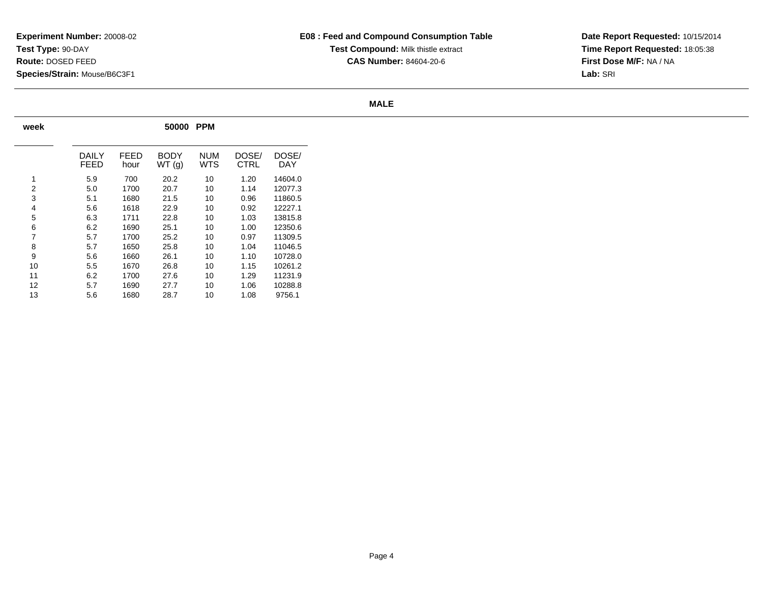**Date Report Requested:** 10/15/2014 **Time Report Requested:** 18:05:38**First Dose M/F:** NA / NA**Lab:** SRI

### **MALE**

| week           | 50000<br><b>PPM</b>  |              |                      |                   |                      |              |  |  |  |  |  |  |  |  |
|----------------|----------------------|--------------|----------------------|-------------------|----------------------|--------------|--|--|--|--|--|--|--|--|
|                | DAILY<br><b>FEED</b> | FEED<br>hour | <b>BODY</b><br>WT(g) | <b>NUM</b><br>WTS | DOSE/<br><b>CTRL</b> | DOSE/<br>DAY |  |  |  |  |  |  |  |  |
| 1              | 5.9                  | 700          | 20.2                 | 10                | 1.20                 | 14604.0      |  |  |  |  |  |  |  |  |
| $\overline{2}$ | 5.0                  | 1700         | 20.7                 | 10                | 1.14                 | 12077.3      |  |  |  |  |  |  |  |  |
| 3              | 5.1                  | 1680         | 21.5                 | 10                | 0.96                 | 11860.5      |  |  |  |  |  |  |  |  |
| 4              | 5.6                  | 1618         | 22.9                 | 10                | 0.92                 | 12227.1      |  |  |  |  |  |  |  |  |
| 5              | 6.3                  | 1711         | 22.8                 | 10                | 1.03                 | 13815.8      |  |  |  |  |  |  |  |  |
| 6              | 6.2                  | 1690         | 25.1                 | 10                | 1.00                 | 12350.6      |  |  |  |  |  |  |  |  |
| $\overline{7}$ | 5.7                  | 1700         | 25.2                 | 10                | 0.97                 | 11309.5      |  |  |  |  |  |  |  |  |
| 8              | 5.7                  | 1650         | 25.8                 | 10                | 1.04                 | 11046.5      |  |  |  |  |  |  |  |  |
| 9              | 5.6                  | 1660         | 26.1                 | 10                | 1.10                 | 10728.0      |  |  |  |  |  |  |  |  |
| 10             | 5.5                  | 1670         | 26.8                 | 10                | 1.15                 | 10261.2      |  |  |  |  |  |  |  |  |
| 11             | 6.2                  | 1700         | 27.6                 | 10                | 1.29                 | 11231.9      |  |  |  |  |  |  |  |  |
| 12             | 5.7                  | 1690         | 27.7                 | 10                | 1.06                 | 10288.8      |  |  |  |  |  |  |  |  |
| 13             | 5.6                  | 1680         | 28.7                 | 10                | 1.08                 | 9756.1       |  |  |  |  |  |  |  |  |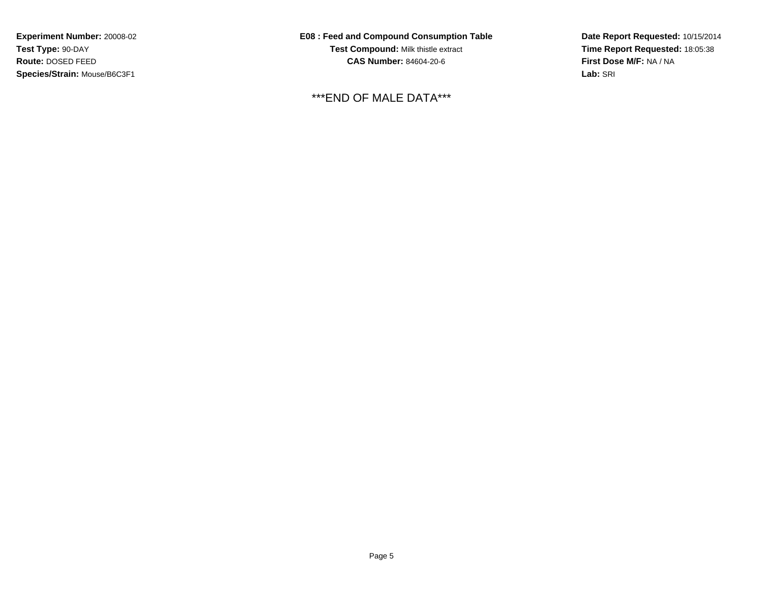**E08 : Feed and Compound Consumption TableTest Compound:** Milk thistle extract**CAS Number:** 84604-20-6

\*\*\*END OF MALE DATA\*\*\*

**Date Report Requested:** 10/15/2014**Time Report Requested:** 18:05:38**First Dose M/F:** NA / NA**Lab:** SRI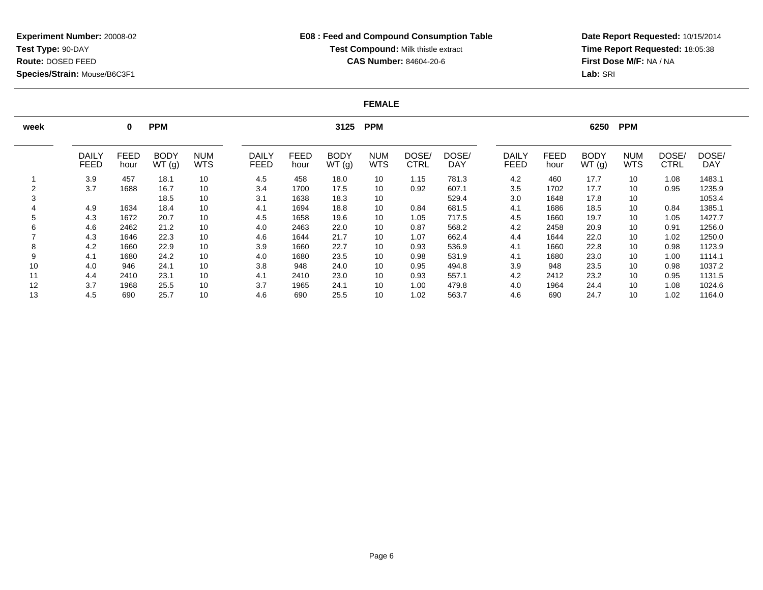# **E08 : Feed and Compound Consumption TableTest Compound:** Milk thistle extract**CAS Number:** 84604-20-6

**Date Report Requested:** 10/15/2014 **Time Report Requested:** 18:05:38**First Dose M/F:** NA / NA**Lab:** SRI

#### **FEMALE**

| week |                      | 0                   | <b>PPM</b>           |                          |                             | 3125 PPM            |                      |                          |                      |                     |                             |                     | 6250<br><b>PPM</b>   |                          |                      |                     |  |  |
|------|----------------------|---------------------|----------------------|--------------------------|-----------------------------|---------------------|----------------------|--------------------------|----------------------|---------------------|-----------------------------|---------------------|----------------------|--------------------------|----------------------|---------------------|--|--|
|      | DAILY<br><b>FEED</b> | <b>FEED</b><br>hour | <b>BODY</b><br>WT(g) | <b>NUM</b><br><b>WTS</b> | <b>DAILY</b><br><b>FEED</b> | <b>FEED</b><br>hour | <b>BODY</b><br>WT(g) | <b>NUM</b><br><b>WTS</b> | DOSE/<br><b>CTRL</b> | DOSE/<br><b>DAY</b> | <b>DAILY</b><br><b>FEED</b> | <b>FEED</b><br>hour | <b>BODY</b><br>WT(g) | <b>NUM</b><br><b>WTS</b> | DOSE/<br><b>CTRL</b> | DOSE/<br><b>DAY</b> |  |  |
|      | 3.9                  | 457                 | 18.1                 | 10                       | 4.5                         | 458                 | 18.0                 | 10                       | 1.15                 | 781.3               | 4.2                         | 460                 | 17.7                 | 10                       | 1.08                 | 1483.1              |  |  |
|      | 3.7                  | 1688                | 16.7                 | 10                       | 3.4                         | 1700                | 17.5                 | 10                       | 0.92                 | 607.1               | 3.5                         | 1702                | 17.7                 | 10                       | 0.95                 | 1235.9              |  |  |
|      |                      |                     | 18.5                 | 10                       | 3.1                         | 1638                | 18.3                 | 10                       |                      | 529.4               | 3.0                         | 1648                | 17.8                 | 10                       |                      | 1053.4              |  |  |
|      | 4.9                  | 1634                | 18.4                 | 10                       | 4.1                         | 1694                | 18.8                 | 10                       | 0.84                 | 681.5               | 4.1                         | 1686                | 18.5                 | 10                       | 0.84                 | 1385.1              |  |  |
|      | 4.3                  | 1672                | 20.7                 | 10                       | 4.5                         | 1658                | 19.6                 | 10                       | 1.05                 | 717.5               | 4.5                         | 1660                | 19.7                 | 10                       | 1.05                 | 1427.7              |  |  |
|      | 4.6                  | 2462                | 21.2                 | 10                       | 4.0                         | 2463                | 22.0                 | 10                       | 0.87                 | 568.2               | 4.2                         | 2458                | 20.9                 | 10                       | 0.91                 | 1256.0              |  |  |
|      | 4.3                  | 1646                | 22.3                 | 10                       | 4.6                         | 1644                | 21.7                 | 10                       | 1.07                 | 662.4               | 4.4                         | 1644                | 22.0                 | 10                       | 1.02                 | 1250.0              |  |  |
| 8    | 4.2                  | 1660                | 22.9                 | 10                       | 3.9                         | 1660                | 22.7                 | 10                       | 0.93                 | 536.9               | 4.1                         | 1660                | 22.8                 | 10                       | 0.98                 | 1123.9              |  |  |
|      | 4.1                  | 1680                | 24.2                 | 10                       | 4.0                         | 1680                | 23.5                 | 10                       | 0.98                 | 531.9               | 4.1                         | 1680                | 23.0                 | 10                       | 1.00                 | 1114.1              |  |  |
| 10   | 4.0                  | 946                 | 24.1                 | 10                       | 3.8                         | 948                 | 24.0                 | 10                       | 0.95                 | 494.8               | 3.9                         | 948                 | 23.5                 | 10                       | 0.98                 | 1037.2              |  |  |
| 11   | 4.4                  | 2410                | 23.1                 | 10                       | 4.1                         | 2410                | 23.0                 | 10                       | 0.93                 | 557.1               | 4.2                         | 2412                | 23.2                 | 10                       | 0.95                 | 1131.5              |  |  |
| 12   | 3.7                  | 1968                | 25.5                 | 10                       | 3.7                         | 1965                | 24.1                 | 10                       | 1.00                 | 479.8               | 4.0                         | 1964                | 24.4                 | 10                       | 1.08                 | 1024.6              |  |  |
| 13   | 4.5                  | 690                 | 25.7                 | 10                       | 4.6                         | 690                 | 25.5                 | 10                       | 1.02                 | 563.7               | 4.6                         | 690                 | 24.7                 | 10                       | 1.02                 | 1164.0              |  |  |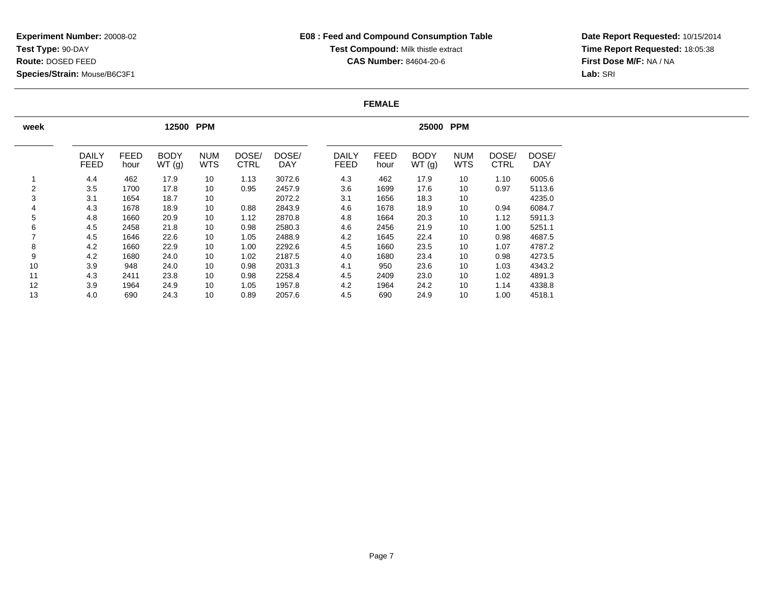**Date Report Requested:** 10/15/2014 **Time Report Requested:** 18:05:38**First Dose M/F:** NA / NA**Lab:** SRI

### **FEMALE**

| week           |                             |                     | 12500                | <b>PPM</b>               |                      | 25000 PPM           |  |                             |                     |                      |                          |                      |                     |
|----------------|-----------------------------|---------------------|----------------------|--------------------------|----------------------|---------------------|--|-----------------------------|---------------------|----------------------|--------------------------|----------------------|---------------------|
|                | <b>DAILY</b><br><b>FEED</b> | <b>FEED</b><br>hour | <b>BODY</b><br>WT(g) | <b>NUM</b><br><b>WTS</b> | DOSE/<br><b>CTRL</b> | DOSE/<br><b>DAY</b> |  | <b>DAILY</b><br><b>FEED</b> | <b>FEED</b><br>hour | <b>BODY</b><br>WT(g) | <b>NUM</b><br><b>WTS</b> | DOSE/<br><b>CTRL</b> | DOSE/<br><b>DAY</b> |
|                | 4.4                         | 462                 | 17.9                 | 10                       | 1.13                 | 3072.6              |  | 4.3                         | 462                 | 17.9                 | 10                       | 1.10                 | 6005.6              |
| $\overline{2}$ | 3.5                         | 1700                | 17.8                 | 10                       | 0.95                 | 2457.9              |  | 3.6                         | 1699                | 17.6                 | 10                       | 0.97                 | 5113.6              |
| 3              | 3.1                         | 1654                | 18.7                 | 10                       |                      | 2072.2              |  | 3.1                         | 1656                | 18.3                 | 10                       |                      | 4235.0              |
| 4              | 4.3                         | 1678                | 18.9                 | 10                       | 0.88                 | 2843.9              |  | 4.6                         | 1678                | 18.9                 | 10                       | 0.94                 | 6084.7              |
| 5              | 4.8                         | 1660                | 20.9                 | 10                       | 1.12                 | 2870.8              |  | 4.8                         | 1664                | 20.3                 | 10                       | 1.12                 | 5911.3              |
| 6              | 4.5                         | 2458                | 21.8                 | 10                       | 0.98                 | 2580.3              |  | 4.6                         | 2456                | 21.9                 | 10                       | 1.00                 | 5251.1              |
| 7              | 4.5                         | 1646                | 22.6                 | 10                       | 1.05                 | 2488.9              |  | 4.2                         | 1645                | 22.4                 | 10                       | 0.98                 | 4687.5              |
| 8              | 4.2                         | 1660                | 22.9                 | 10                       | 1.00                 | 2292.6              |  | 4.5                         | 1660                | 23.5                 | 10                       | 1.07                 | 4787.2              |
| 9              | 4.2                         | 1680                | 24.0                 | 10                       | 1.02                 | 2187.5              |  | 4.0                         | 1680                | 23.4                 | 10                       | 0.98                 | 4273.5              |
| 10             | 3.9                         | 948                 | 24.0                 | 10                       | 0.98                 | 2031.3              |  | 4.1                         | 950                 | 23.6                 | 10                       | 1.03                 | 4343.2              |
| 11             | 4.3                         | 2411                | 23.8                 | 10                       | 0.98                 | 2258.4              |  | 4.5                         | 2409                | 23.0                 | 10                       | 1.02                 | 4891.3              |
| 12             | 3.9                         | 1964                | 24.9                 | 10                       | 1.05                 | 1957.8              |  | 4.2                         | 1964                | 24.2                 | 10                       | 1.14                 | 4338.8              |
| 13             | 4.0                         | 690                 | 24.3                 | 10                       | 0.89                 | 2057.6              |  | 4.5                         | 690                 | 24.9                 | 10                       | 1.00                 | 4518.1              |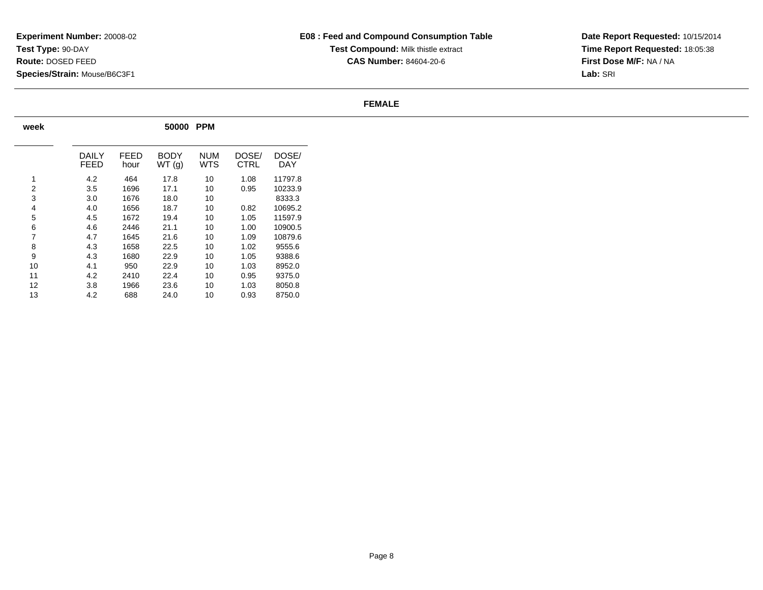**Date Report Requested:** 10/15/2014 **Time Report Requested:** 18:05:38**First Dose M/F:** NA / NA**Lab:** SRI

#### **FEMALE**

| week           | <b>PPM</b><br>50000 |              |                |                   |                      |              |  |  |  |  |  |  |  |
|----------------|---------------------|--------------|----------------|-------------------|----------------------|--------------|--|--|--|--|--|--|--|
|                | DAILY<br>FEED       | FEED<br>hour | BODY<br>WT (g) | <b>NUM</b><br>WTS | DOSE/<br><b>CTRL</b> | DOSE/<br>DAY |  |  |  |  |  |  |  |
| 1              | 4.2                 | 464          | 17.8           | 10                | 1.08                 | 11797.8      |  |  |  |  |  |  |  |
| $\overline{2}$ | 3.5                 | 1696         | 17.1           | 10                | 0.95                 | 10233.9      |  |  |  |  |  |  |  |
| 3              | 3.0                 | 1676         | 18.0           | 10                |                      | 8333.3       |  |  |  |  |  |  |  |
| 4              | 4.0                 | 1656         | 18.7           | 10                | 0.82                 | 10695.2      |  |  |  |  |  |  |  |
| 5              | 4.5                 | 1672         | 19.4           | 10                | 1.05                 | 11597.9      |  |  |  |  |  |  |  |
| 6              | 4.6                 | 2446         | 21.1           | 10                | 1.00                 | 10900.5      |  |  |  |  |  |  |  |
| 7              | 4.7                 | 1645         | 21.6           | 10                | 1.09                 | 10879.6      |  |  |  |  |  |  |  |
| 8              | 4.3                 | 1658         | 22.5           | 10                | 1.02                 | 9555.6       |  |  |  |  |  |  |  |
| 9              | 4.3                 | 1680         | 22.9           | 10                | 1.05                 | 9388.6       |  |  |  |  |  |  |  |
| 10             | 4.1                 | 950          | 22.9           | 10                | 1.03                 | 8952.0       |  |  |  |  |  |  |  |
| 11             | 4.2                 | 2410         | 22.4           | 10                | 0.95                 | 9375.0       |  |  |  |  |  |  |  |
| 12             | 3.8                 | 1966         | 23.6           | 10                | 1.03                 | 8050.8       |  |  |  |  |  |  |  |
| 13             | 4.2                 | 688          | 24.0           | 10                | 0.93                 | 8750.0       |  |  |  |  |  |  |  |